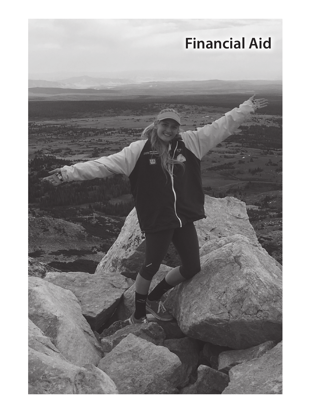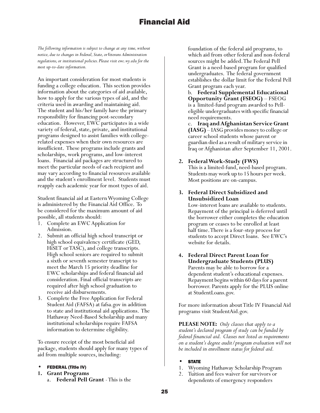*The following information is subject to change at any time, without notice, due to changes in Federal, State, or Veterans Administration regulations, or institutional policies. Please visit ewc.wy.edu for the most up-to-date information.*

An important consideration for most students is funding a college education. This section provides information about the categories of aid available, how to apply for the various types of aid, and the criteria used in awarding and maintaining aid. The student and his/her family have the primary responsibility for financing post-secondary education. However, EWC participates in a wide variety of federal, state, private, and institutional programs designed to assist families with collegerelated expenses when their own resources are insufficient. These programs include grants and scholarships, work programs, and low-interest loans. Financial aid packages are structured to meet the particular needs of each recipient and may vary according to financial resources available and the student's enrollment level. Students must reapply each academic year for most types of aid.

Student financial aid at Eastern Wyoming College is administered by the Financial Aid Office. To be considered for the maximum amount of aid possible, all students should:

- 1. Complete an EWC Application for Admission.
- 2. Submit an official high school transcript or high school equivalency certificate (GED, HiSET or TASC), and college transcripts. High school seniors are required to submit a sixth or seventh semester transcript to meet the March 15 priority deadline for EWC scholarships and federal financial aid consideration. Final official transcripts are required after high school graduation to receive aid disbursements.
- 3. Complete the Free Application for Federal Student Aid (FAFSA) at fafsa.gov in addition to state and institutional aid applications. The Hathaway Need-Based Scholarship and many institutional scholarships require FAFSA information to determine eligibility.

To ensure receipt of the most beneficial aid package, students should apply for many types of aid from multiple sources, including:

- FEDERAL (Title IV)
- **1. Grant Programs**
	- a. **Federal Pell Grant** This is the

foundation of the federal aid programs, to which aid from other federal and non-federal sources might be added. The Federal Pell Grant is a need-based program for qualified undergraduates. The federal government establishes the dollar limit for the Federal Pell Grant program each year.

b. **Federal Supplemental Educational Opportunity Grant (FSEOG)** – FSEOG is a limited-fund program awarded to Pelleligible undergraduates with specific financial need requirements.

c. **Iraq and Afghanistan Service Grant (IASG)** – IASG provides money to college or career school students whose parent or guardian died as a result of military service in Iraq or Afghanistan after September 11, 2001.

## **2. Federal Work-Study (FWS)**

This is a limited-fund, need-based program. Students may work up to 15 hours per week. Most positions are on-campus.

**3. Federal Direct Subsidized and Unsubsidized Loan**

Low-interest loans are available to students. Repayment of the principal is deferred until the borrower either completes the education program or ceases to be enrolled at least half time. There is a four-step process for students to accept Direct loans. See EWC's website for details.

**4. Federal Direct Parent Loan for Undergraduate Students (PLUS)** Parents may be able to borrow for a dependent student's educational expenses. Repayment begins within 60 days for a parent borrower. Parents apply for the PLUS online at StudentLoans.gov.

For more information about Title IV Financial Aid programs visit StudentAid.gov.

**PLEASE NOTE:** *Only classes that apply to a student's declared program of study can be funded by federal financial aid. Classes not listed as requirements on a student's degree audit/program evaluation will not be included in enrollment status for federal aid.* 

- **STATE**
- 1. Wyoming Hathaway Scholarship Program
- 2. Tuition and fees waiver for survivors or dependents of emergency responders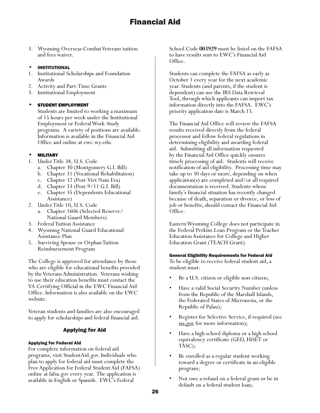3. Wyoming Overseas Combat Veterans tuition and fees waiver.

### **INSTITUTIONAL**

- 1. Institutional Scholarships and Foundation Awards
- 2. Activity and Part-Time Grants
- 3. Institutional Employment

## STUDENT EMPLOYMENT

Students are limited to working a maximum of 15 hours per week under the Institutional Employment or Federal Work-Study programs. A variety of positions are available. Information is available in the Financial Aid Office and online at ewc.wy.edu.

## • MILITARY

- 1. Under Title 38, U.S. Code
	- a. Chapter 30 (Montgomery G.I. Bill)
	- b. Chapter 31 (Vocational Rehabilitation)
	- c. Chapter 32 (Post-Viet Nam Era)
	- d. Chapter 33 (Post-9/11 G.I. Bill)
	- e. Chapter 35 (Dependents Educational Assistance)
- 2. Under Title 10, U.S. Code
	- Chapter 1606 (Selected Reserve/ National Guard Members)
- 3. Federal Tuition Assistance
- 4. Wyoming National Guard Educational Assistance Plan
- 5. Surviving Spouse or Orphan Tuition Reimbursement Program

The College is approved for attendance by those who are eligible for educational benefits provided by the Veterans Administration. Veterans wishing to use their education benefits must contact the VA Certifying Official in the EWC Financial Aid Office. Information is also available on the EWC website.

Veteran students and families are also encouraged to apply for scholarships and federal financial aid.

## Applying for Aid

### Applying for Federal Aid

For complete information on federal aid programs, visit StudentAid.gov. Individuals who plan to apply for federal aid must complete the Free Application for Federal Student Aid (FAFSA) online at fafsa.gov every year. The application is available in English or Spanish. EWC's Federal

School Code **003929** must be listed on the FAFSA to have results sent to EWC's Financial Aid Office.

Students can complete the FAFSA as early as October 1 every year for the next academic year. Students (and parents, if the student is dependent) can use the IRS Data Retrieval Tool, through which applicants can import tax information directly into the FAFSA. EWC's priority application date is March 15.

The Financial Aid Office will review the FAFSA results received directly from the federal processor and follow federal regulations in determining eligibility and awarding federal aid. Submitting all information requested by the Financial Aid Office quickly ensures timely processing of aid. Students will receive notification of aid eligibility. Processing time may take up to 30 days or more, depending on when application(s) are completed and/or all required documentation is received. Students whose family's financial situation has recently changed because of death, separation or divorce, or loss of job or benefits, should contact the Financial Aid Office.

Eastern Wyoming College does not participate in the Federal Perkins Loan Program or the Teacher Education Assistance for College and Higher Education Grant (TEACH Grant).

### General Eligibility Requirements for Federal Aid

To be eligible to receive federal student aid, a student must:

- Be a U.S. citizen or eligible non-citizen;
- Have a valid Social Security Number (unless from the Republic of the Marshall Islands, the Federated States of Micronesia, or the Republic of Palau);
- Register for Selective Service, if required (see sss.gov for more information);
- Have a high school diploma or a high school equivalency certificate (GED, HiSET or TASC);
- Be enrolled as a regular student working toward a degree or certificate in an eligible program;
- Not owe a refund on a federal grant or be in default on a federal student loan;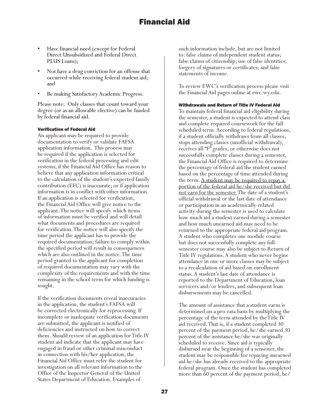- Have financial need (except for Federal Direct Unsubsidized and Federal Direct PLUS Loans);
- Not have a drug conviction for an offense that occurred while receiving federal student aid; and
- Be making Satisfactory Academic Progress.

Please note: Only classes that count toward your degree (or as an allowable elective) can be funded by federal financial aid.

#### Verification of Federal Aid

An applicant may be required to provide documentation to verify or validate FAFSA application information. This process may be required if the application is selected for verification in the federal processing and edit systems; if the Financial Aid Office has reason to believe that any application information critical to the calculation of the student's expected family contribution (EFC) is inaccurate; or if application information is in conflict with other information. If an application is selected for verification, the Financial Aid Office will give notice to the applicant. The notice will specify which items of information must be verified and will detail what documents and procedures are required for verification. The notice will also specify the time period the applicant has to provide the required documentation; failure to comply within the specified period will result in consequences which are also outlined in the notice. The time period granted to the applicant for completion of required documentation may vary with the complexity of the requirements and with the time remaining in the school term for which funding is sought.

If the verification documents reveal inaccuracies in the application, the student's FAFSA will be corrected electronically for reprocessing. If incomplete or inadequate verification documents are submitted, the applicant is notified of deficiencies and instructed on how to correct them. Should review of an application for Title IV student aid indicate that the applicant may have engaged in fraud or other criminal misconduct in connection with his/her application, the Financial Aid Office must refer the student for investigation on all relevant information to the Office of the Inspector General of the United States Department of Education. Examples of

such information include, but are not limited to: false claims of independent student status; false claims of citizenship; use of false identities; forgery of signatures or certificates; and false statements of income.

To review EWC's verification process please visit the Financial Aid pages online at ewc.wy.edu.

#### Withdrawals and Return of Title IV Federal Aid

To maintain federal financial aid eligibility during the semester, a student is expected to attend class and complete required coursework for the full scheduled term. According to federal regulations, if a student officially withdraws from all classes, stops attending classes (unofficial withdrawal), receives all "F" grades, or otherwise does not successfully complete classes during a semester, the Financial Aid Office is required to determine the percentage of federal aid the student earned based on the percentage of time attended during the term. A student may be required to repay a portion of the federal aid he/she received but did not earn for the semester. The date of a student's official withdrawal or the last date of attendance or participation in an academically-related activity during the semester is used to calculate how much aid a student earned during a semester and how much unearned aid may need to be returned to the appropriate federal aid program. A student who completes one module course but does not successfully complete any fullsemester course may also be subject to Return of Title IV regulations. A student who never begins attendance in one or more classes may be subject to a recalculation of aid based on enrollment status. A student's last date of attendance is reported to the Department of Education, loan servicers and/or lenders, and subsequent loan disbursements may be cancelled.

The amount of assistance that a student earns is determined on a pro-rata basis by multiplying the percentage of the term attended by the Title IV aid received. That is, if a student completed 30 percent of the payment period, he/she earned 30 percent of the assistance he/she was originally scheduled to receive. Since aid is typically disbursed near the beginning of a semester, the student may be responsible for repaying unearned aid he/she has already received to the appropriate federal program. Once the student has completed more than 60 percent of the payment period, he/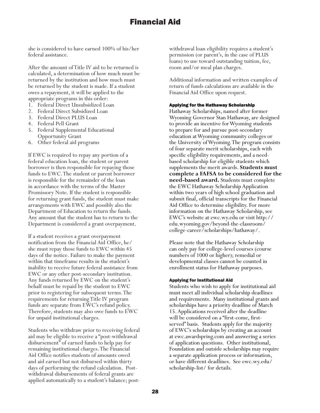she is considered to have earned 100% of his/her federal assistance.

After the amount of Title IV aid to be returned is calculated, a determination of how much must be returned by the institution and how much must be returned by the student is made. If a student owes a repayment, it will be applied to the appropriate programs in this order:

- 1. Federal Direct Unsubsidized Loan
- 2. Federal Direct Subsidized Loan
- 3. Federal Direct PLUS Loan
- 4. Federal Pell Grant
- 5. Federal Supplemental Educational Opportunity Grant
- 6. Other federal aid programs

If EWC is required to repay any portion of a federal education loan, the student or parent borrower is then responsible for repaying those funds to EWC. The student or parent borrower is responsible for the remainder of the loan in accordance with the terms of the Master Promissory Note. If the student is responsible for returning grant funds, the student must make arrangements with EWC and possibly also the Department of Education to return the funds. Any amount that the student has to return to the Department is considered a grant overpayment.

If a student receives a grant overpayment notification from the Financial Aid Office, he/ she must repay those funds to EWC within 45 days of the notice. Failure to make the payment within that timeframe results in the student's inability to receive future federal assistance from EWC or any other post-secondary institution. Any funds returned by EWC on the student's behalf must be repaid by the student to EWC prior to registering for subsequent terms. The requirements for returning Title IV program funds are separate from EWC's refund policy. Therefore, students may also owe funds to EWC for unpaid institutional charges.

Students who withdraw prior to receiving federal aid may be eligible to receive a "post-withdrawal disbursement" of earned funds to help pay for remaining institutional charges. The Financial Aid Office notifies students of amounts owed and aid earned but not disbursed within thirty days of performing the refund calculation. Postwithdrawal disbursements of federal grants are applied automatically to a student's balance; postwithdrawal loan eligibility requires a student's permission (or parent's, in the case of PLUS loans) to use toward outstanding tuition, fee, room and/or meal plan charges.

Additional information and written examples of return of funds calculations are available in the Financial Aid Office upon request.

#### Applying for the Hathaway Scholarship

Hathaway Scholarships, named after former Wyoming Governor Stan Hathaway, are designed to provide an incentive for Wyoming students to prepare for and pursue post-secondary education at Wyoming community colleges or the University of Wyoming. The program consists of four separate merit scholarships, each with specific eligibility requirements, and a needbased scholarship for eligible students which supplements the merit awards. **Students must complete a FAFSA to be considered for the need-based award.** Students must complete the EWC Hathaway Scholarship Application within two years of high school graduation and submit final, official transcripts for the Financial Aid Office to determine eligibility. For more information on the Hathaway Scholarship, see EWC's website at ewc.wy.edu or visit http:// edu.wyoming.gov/beyond-the-classroom/ college-career/scholarships/hathaway/.

Please note that the Hathaway Scholarship can only pay for college-level courses (course numbers of 1000 or higher); remedial or developmental classes cannot be counted in enrollment status for Hathaway purposes.

#### Applying for Institutional Aid

Students who wish to apply for institutional aid must meet all individual scholarship deadlines and requirements. Many institutional grants and scholarships have a priority deadline of March 15. Applications received after the deadline will be considered on a "first-come, firstserved" basis. Students apply for the majority of EWC's scholarships by creating an account at ewc.awardspring.com and answering a series of application questions. Other institutional, Foundation and outside scholarships may require a separate application process or information, or have different deadlines. See ewc.wy.edu/ scholarship-list/ for details.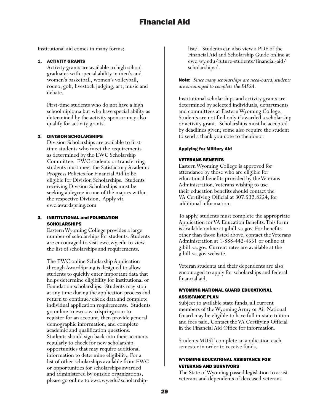Institutional aid comes in many forms:

#### 1. ACTIVITY GRANTS

Activity grants are available to high school graduates with special ability in men's and women's basketball, women's volleyball, rodeo, golf, livestock judging, art, music and debate.

First-time students who do not have a high school diploma but who have special ability as determined by the activity sponsor may also qualify for activity grants.

#### 2. DIVISION SCHOLARSHIPS

Division Scholarships are available to firsttime students who meet the requirements as determined by the EWC Scholarship Committee. EWC students or transferring students must meet the Satisfactory Academic Progress Policies for Financial Aid to be eligible for Division Scholarships. Students receiving Division Scholarships must be seeking a degree in one of the majors within the respective Division. Apply via ewc.awardspring.com

#### 3. INSTITUTIONAL and FOUNDATION SCHOLARSHIPS

Eastern Wyoming College provides a large number of scholarships for students. Students are encouraged to visit ewc.wy.edu to view the list of scholarships and requirements.

The EWC online Scholarship Application through AwardSpring is designed to allow students to quickly enter important data that helps determine eligibility for institutional or Foundation scholarships. Students may stop at any time during the application process and return to continue/check data and complete individual application requirements. Students go online to ewc.awardspring.com to register for an account, then provide general demographic information, and complete academic and qualification questions. Students should sign back into their accounts regularly to check for new scholarship opportunities that may require additional information to determine eligibility. For a list of other scholarships available from EWC or opportunities for scholarships awarded and administered by outside organizations, please go online to ewc.wy.edu/scholarshiplist/. Students can also view a PDF of the Financial Aid and Scholarship Guide online at ewc.wy.edu/future-students/financial-aid/ scholarships/.

Note: *Since many scholarships are need-based, students are encouraged to complete the FAFSA.*

Institutional scholarships and activity grants are determined by selected individuals, departments and committees at Eastern Wyoming College. Students are notified only if awarded a scholarship or activity grant. Scholarships must be accepted by deadlines given; some also require the student to send a thank you note to the donor.

#### Applying for Military Aid

#### VETERANS BENEFITS

Eastern Wyoming College is approved for attendance by those who are eligible for educational benefits provided by the Veterans Administration. Veterans wishing to use their education benefits should contact the VA Certifying Official at 307.532.8224, for additional information.

To apply, students must complete the appropriate Application for VA Education Benefits. This form is available online at gibill.va.gov. For benefits other than those listed above, contact the Veterans Administration at 1-888-442-4551 or online at gibill.va.gov. Current rates are available at the gibill.va.gov website.

Veteran students and their dependents are also encouraged to apply for scholarships and federal financial aid.

## WYOMING NATIONAL GUARD EDUCATIONAL ASSISTANCE PLAN

Subject to available state funds, all current members of the Wyoming Army or Air National Guard may be eligible to have full in-state tuition and fees paid. Contact the VA Certifying Official in the Financial Aid Office for information.

Students MUST complete an application each semester in order to receive funds.

## WYOMING EDUCATIONAL ASSISTANCE FOR VETERANS AND SURVIVORS

The State of Wyoming passed legislation to assist veterans and dependents of deceased veterans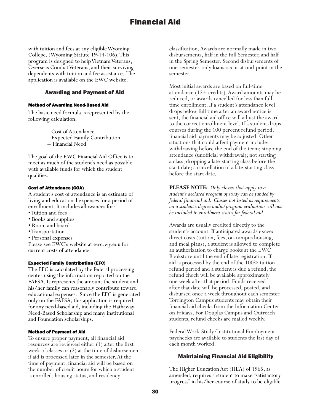with tuition and fees at any eligible Wyoming College. (Wyoming Statute 19-14-106). This program is designed to help Vietnam Veterans, Overseas Combat Veterans, and their surviving dependents with tuition and fee assistance. The application is available on the EWC website.

### Awarding and Payment of Aid

#### Method of Awarding Need-Based Aid

The basic need formula is represented by the following calculation:

> Cost of Attendance – Expected Family Contribution = Financial Need

The goal of the EWC Financial Aid Office is to meet as much of the student's need as possible with available funds for which the student qualifies.

### Cost of Attendance (COA)

A student's cost of attendance is an estimate of living and educational expenses for a period of enrollment. It includes allowances for:

- Tuition and fees
- Books and supplies
- Room and board
- Transportation
- Personal expenses

Please see EWC's website at ewc.wy.edu for current costs of attendance.

### Expected Family Contribution (EFC)

The EFC is calculated by the federal processing center using the information reported on the FAFSA. It represents the amount the student and his/her family can reasonably contribute toward educational expenses. Since the EFC is generated only on the FAFSA, this application is required for any need-based aid, including the Hathaway Need-Based Scholarship and many institutional and Foundation scholarships.

### Method of Payment of Aid

To ensure proper payment, all financial aid resources are reviewed either (1) after the first week of classes or (2) at the time of disbursement if aid is processed later in the semester. At the time of payment, financial aid will be based on the number of credit hours for which a student is enrolled, housing status, and residency

classification. Awards are normally made in two disbursements, half in the Fall Semester, and half in the Spring Semester. Second disbursements of one-semester-only loans occur at mid-point in the semester.

Most initial awards are based on full-time attendance (12+ credits). Award amounts may be reduced, or awards cancelled for less than fulltime enrollment. If a student's attendance level drops below full time after an award notice is sent, the financial aid office will adjust the award to the correct enrollment level. If a student drops courses during the 100 percent refund period, financial aid payments may be adjusted. Other situations that could affect payment include: withdrawing before the end of the term; stopping attendance (unofficial withdrawal); not starting a class; dropping a late-starting class before the start date; a cancellation of a late-starting class before the start date.

**PLEASE NOTE:** *Only classes that apply to a student's declared program of study can be funded by federal financial aid. Classes not listed as requirements on a student's degree audit/program evaluation will not be included in enrollment status for federal aid.* 

Awards are usually credited directly to the student's account. If anticipated awards exceed direct costs (tuition, fees, on-campus housing, and meal plans), a student is allowed to complete an authorization to charge books at the EWC Bookstore until the end of late registration. If aid is processed by the end of the 100% tuition refund period and a student is due a refund, the refund check will be available approximately one week after that period. Funds received after that date will be processed, posted, and disbursed once a week throughout each semester. Torrington Campus students may obtain their financial aid checks from the Information Center on Fridays. For Douglas Campus and Outreach students, refund checks are mailed weekly.

Federal Work-Study/Institutional Employment paychecks are available to students the last day of each month worked.

## Maintaining Financial Aid Eligibility

The Higher Education Act (HEA) of 1965, as amended, requires a student to make "satisfactory progress" in his/her course of study to be eligible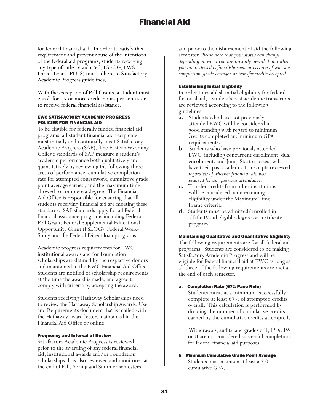for federal financial aid. In order to satisfy this requirement and prevent abuse of the intentions of the federal aid programs, students receiving any type of Title IV aid (Pell, FSEOG, FWS, Direct Loans, PLUS) must adhere to Satisfactory Academic Progress guidelines.

With the exception of Pell Grants, a student must enroll for six or more credit hours per semester to receive federal financial assistance.

#### EWC SATISFACTORY ACADEMIC PROGRESS POLICIES FOR FINANCIAL AID

To be eligible for federally funded financial aid programs, all student financial aid recipients must initially and continually meet Satisfactory Academic Progress (SAP). The Eastern Wyoming College standards of SAP measure a student's academic performance both qualitatively and quantitatively by reviewing the following three areas of performance: cumulative completion rate for attempted coursework, cumulative grade point average earned, and the maximum time allowed to complete a degree. The Financial Aid Office is responsible for ensuring that all students receiving financial aid are meeting these standards. SAP standards apply for all federal financial assistance programs including Federal Pell Grant, Federal Supplemental Educational Opportunity Grant (FSEOG), Federal Work-Study and the Federal Direct loan programs.

Academic progress requirements for EWC institutional awards and/or Foundation scholarships are defined by the respective donors and maintained in the EWC Financial Aid Office. Students are notified of scholarship requirements at the time the award is made, and agree to comply with criteria by accepting the award.

Students receiving Hathaway Scholarships need to review the Hathaway Scholarship Awards, Use and Requirements document that is mailed with the Hathaway award letter, maintained in the Financial Aid Office or online.

### Frequency and Interval of Review

Satisfactory Academic Progress is reviewed prior to the awarding of any federal financial aid, institutional awards and/or Foundation scholarships. It is also reviewed and monitored at the end of Fall, Spring and Summer semesters,

and prior to the disbursement of aid the following semester. *Please note that your status can change depending on when you are initially awarded and when you are reviewed before disbursement because of semester completion, grade changes, or transfer credits accepted.*

#### Establishing Initial Eligibility

In order to establish initial eligibility for federal financial aid, a student's past academic transcripts are reviewed according to the following guidelines:

- **a.** Students who have not previously attended EWC will be considered in good standing with regard to minimum credits completed and minimum GPA requirements.
- **b.** Students who have previously attended EWC, including concurrent enrollment, dual enrollment, and Jump Start courses, will have their past academic transcripts reviewed *regardless of whether financial aid was received for any previous attendance.*
- **c.** Transfer credits from other institutions will be considered in determining eligibility under the Maximum Time Frame criteria.
- **d.** Students must be admitted/enrolled in a Title IV aid eligible degree or certificate program.

## Maintaining Qualitative and Quantitative Eligibility

The following requirements are for <u>all</u> federal aid programs. Students are considered to be making Satisfactory Academic Progress and will be eligible for federal financial aid at EWC as long as all three of the following requirements are met at the end of each semester.

### a. Completion Rate (67% Pace Rule)

Students must, at a minimum, successfully complete at least 67% of attempted credits overall. This calculation is performed by dividing the number of cumulative credits earned by the cumulative credits attempted.

 Withdrawals, audits, and grades of F, IP, X, IW or U are not considered successful completions for federal financial aid purposes.

b. Minimum Cumulative Grade Point Average Students must maintain at least a 2.0 cumulative GPA.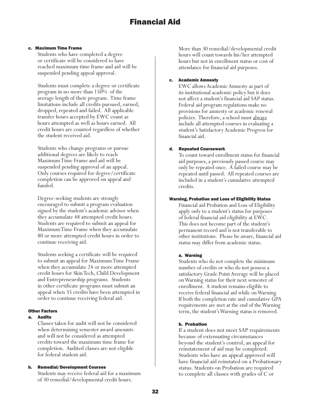#### c. Maximum Time Frame

Students who have completed a degree or certificate will be considered to have reached maximum time frame and aid will be suspended pending appeal approval.

Students must complete a degree or certificate program in no more than 150% of the average length of their program. Time frame limitations include all credits pursued, earned, dropped, repeated and failed. All applicable transfer hours accepted by EWC count as hours attempted as well as hours earned. All credit hours are counted regardless of whether the student received aid.

Students who change programs or pursue additional degrees are likely to reach Maximum Time Frame and aid will be suspended pending approval of an appeal. Only courses required for degree/certificate completion can be approved on appeal and funded.

Degree-seeking students are strongly encouraged to submit a program evaluation signed by the student's academic advisor when they accumulate 48 attempted credit hours. Students are required to submit an appeal for Maximum Time Frame when they accumulate 80 or more attempted credit hours in order to continue receiving aid.

Students seeking a certificate will be required to submit an appeal for Maximum Time Frame when they accumulate 24 or more attempted credit hours for Skin Tech, Child Development and Entrepreneurship programs. Students in other certificate programs must submit an appeal when 35 credits have been attempted in order to continue receiving federal aid.

### Other Factors

### a. Audits

Classes taken for audit will not be considered when determining semester award amounts and will not be considered as attempted credits toward the maximum time frame for completion. Audited classes are not eligible for federal student aid.

### b. Remedial/Development Courses

Students may receive federal aid for a maximum of 30 remedial/developmental credit hours.

More than 30 remedial/developmental credit hours will count towards his/her attempted hours but not in enrollment status or cost of attendance for financial aid purposes.

### c. Academic Amnesty

EWC allows Academic Amnesty as part of its institutional academic policy but it does not affect a student's financial aid SAP status. Federal aid program regulations make no provisions for amnesty or academic renewal policies. Therefore, a school must always include all attempted courses in evaluating a student's Satisfactory Academic Progress for financial aid.

### d. Repeated Coursework

To count toward enrollment status for financial aid purposes, a previously passed course may only be repeated once. A failed course may be repeated until passed. All repeated courses are included in a student's cumulative attempted credits.

### Warning, Probation and Loss of Eligibility Status

Financial aid Probation and Loss of Eligibility apply only to a student's status for purposes of federal financial aid eligibility at EWC. This does not become part of the student's permanent record and is not transferable to other institutions. Please be aware, financial aid status may differ from academic status.

### a. Warning

Students who do not complete the minimum number of credits or who do not possess a satisfactory Grade Point Average will be placed on Warning status for their next semester of enrollment. A student remains eligible to receive federal financial aid while on Warning. If both the completion rate and cumulative GPA requirements are met at the end of the Warning term, the student's Warning status is removed.

### b. Probation

If a student does not meet SAP requirements because of extenuating circumstances beyond the student's control, an appeal for reinstatement of aid may be completed. Students who have an appeal approved will have financial aid reinstated on a Probationary status. Students on Probation are required to complete all classes with grades of C or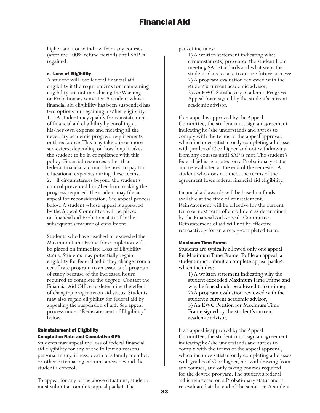higher and not withdraw from any courses (after the 100% refund period) until SAP is regained.

#### c. Loss of Eligibility

A student will lose federal financial aid eligibility if the requirements for maintaining eligibility are not met during the Warning or Probationary semester. A student whose financial aid eligibility has been suspended has two options for regaining his/her eligibility. 1. A student may qualify for reinstatement of financial aid eligibility by enrolling at his/her own expense and meeting all the necessary academic progress requirements outlined above. This may take one or more semesters, depending on how long it takes the student to be in compliance with this policy. Financial resources other than federal financial aid must be used to pay for educational expenses during these terms. 2. If circumstances beyond the student's control prevented him/her from making the progress required, the student may file an appeal for reconsideration. See appeal process below. A student whose appeal is approved by the Appeal Committee will be placed on financial aid Probation status for the subsequent semester of enrollment.

Students who have reached or exceeded the Maximum Time Frame for completion will be placed on immediate Loss of Eligibility status. Students may potentially regain eligibility for federal aid if they change from a certificate program to an associate's program of study because of the increased hours required to complete the degree. Contact the Financial Aid Office to determine the effect of changing programs on aid status. Students may also regain eligibility for federal aid by appealing the suspension of aid. See appeal process under "Reinstatement of Eligibility" below.

#### Reinstatement of Eligibility Completion Rate and Cumulative GPA

Students may appeal the loss of federal financial aid eligibility for any of the following reasons: personal injury, illness, death of a family member, or other extenuating circumstances beyond the student's control.

To appeal for any of the above situations, students must submit a complete appeal packet. The

packet includes:

1) A written statement indicating what circumstance(s) prevented the student from meeting SAP standards and what steps the student plans to take to ensure future success; 2) A program evaluation reviewed with the student's current academic advisor; 3) An EWC Satisfactory Academic Progress Appeal form signed by the student's current academic advisor.

If an appeal is approved by the Appeal Committee, the student must sign an agreement indicating he/she understands and agrees to comply with the terms of the appeal approval, which includes satisfactorily completing all classes with grades of C or higher and not withdrawing from any courses until SAP is met. The student's federal aid is reinstated on a Probationary status and re-evaluated at the end of the semester. A student who does not meet the terms of the agreement loses federal financial aid eligibility.

Financial aid awards will be based on funds available at the time of reinstatement. Reinstatement will be effective for the current term or next term of enrollment as determined by the Financial Aid Appeals Committee. Reinstatement of aid will not be effective retroactively for an already-completed term.

#### Maximum Time Frame

Students are typically allowed only one appeal for Maximum Time Frame. To file an appeal, a student must submit a complete appeal packet, which includes:

1) A written statement indicating why the student exceeded Maximum Time Frame and why he/she should be allowed to continue; 2) A program evaluation reviewed with the student's current academic advisor; 3) An EWC Petition for Maximum Time Frame signed by the student's current academic advisor.

If an appeal is approved by the Appeal Committee, the student must sign an agreement indicating he/she understands and agrees to comply with the terms of the appeal approval, which includes satisfactorily completing all classes with grades of C or higher, not withdrawing from any courses, and only taking courses required for the degree program. The student's federal aid is reinstated on a Probationary status and is re-evaluated at the end of the semester. A student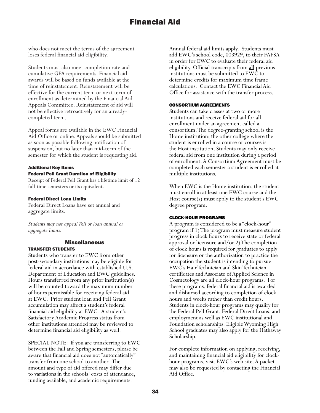who does not meet the terms of the agreement loses federal financial aid eligibility.

Students must also meet completion rate and cumulative GPA requirements. Financial aid awards will be based on funds available at the time of reinstatement. Reinstatement will be effective for the current term or next term of enrollment as determined by the Financial Aid Appeals Committee. Reinstatement of aid will not be effective retroactively for an alreadycompleted term.

Appeal forms are available in the EWC Financial Aid Office or online. Appeals should be submitted as soon as possible following notification of suspension, but no later than mid-term of the semester for which the student is requesting aid.

#### Additional Key Items

#### Federal Pell Grant Duration of Eligibility

Receipt of Federal Pell Grant has a lifetime limit of 12 full-time semesters or its equivalent.

#### Federal Direct Loan Limits

Federal Direct Loans have set annual and aggregate limits.

*Students may not appeal Pell or loan annual or aggregate limits.*

## Miscellaneous

## TRANSFER STUDENTS

Students who transfer to EWC from other post-secondary institutions may be eligible for federal aid in accordance with established U.S. Department of Education and EWC guidelines. Hours transferred from any prior institution(s) will be counted toward the maximum number of hours permissible for receiving federal aid at EWC. Prior student loan and Pell Grant accumulation may affect a student's federal financial aid eligibility at EWC. A student's Satisfactory Academic Progress status from other institutions attended may be reviewed to determine financial aid eligibility as well.

SPECIAL NOTE: If you are transferring to EWC between the Fall and Spring semesters, please be aware that financial aid does not "automatically" transfer from one school to another. The amount and type of aid offered may differ due to variations in the schools' costs of attendance, funding available, and academic requirements.

Annual federal aid limits apply. Students must add EWC's school code, 003929, to their FAFSA in order for EWC to evaluate their federal aid eligibility. Official transcripts from all previous institutions must be submitted to EWC to determine credits for maximum time frame calculations. Contact the EWC Financial Aid Office for assistance with the transfer process.

#### CONSORTIUM AGREEMENTS

Students can take classes at two or more institutions and receive federal aid for all enrollment under an agreement called a consortium. The degree-granting school is the Home institution; the other college where the student is enrolled in a course or courses is the Host institution. Students may only receive federal aid from one institution during a period of enrollment. A Consortium Agreement must be completed each semester a student is enrolled at multiple institutions.

When EWC is the Home institution, the student must enroll in at least one EWC course and the Host course(s) must apply to the student's EWC degree program.

#### CLOCK-HOUR PROGRAMS

A program is considered to be a "clock-hour" program if 1) The program must measure student progress in clock hours to receive state or federal approval or licensure and/or 2) The completion of clock hours is required for graduates to apply for licensure or the authorization to practice the occupation the student is intending to pursue. EWC's Hair Technician and Skin Technician certificates and Associate of Applied Science in Cosmetology are all clock-hour programs. For these programs, federal financial aid is awarded and disbursed according to completion of clock hours and weeks rather than credit hours. Students in clock-hour programs may qualify for the Federal Pell Grant, Federal Direct Loans, and employment as well as EWC institutional and Foundation scholarships. Eligible Wyoming High School graduates may also apply for the Hathaway Scholarship.

For complete information on applying, receiving, and maintaining financial aid eligibility for clockhour programs, visit EWC's web site. A packet may also be requested by contacting the Financial Aid Office.